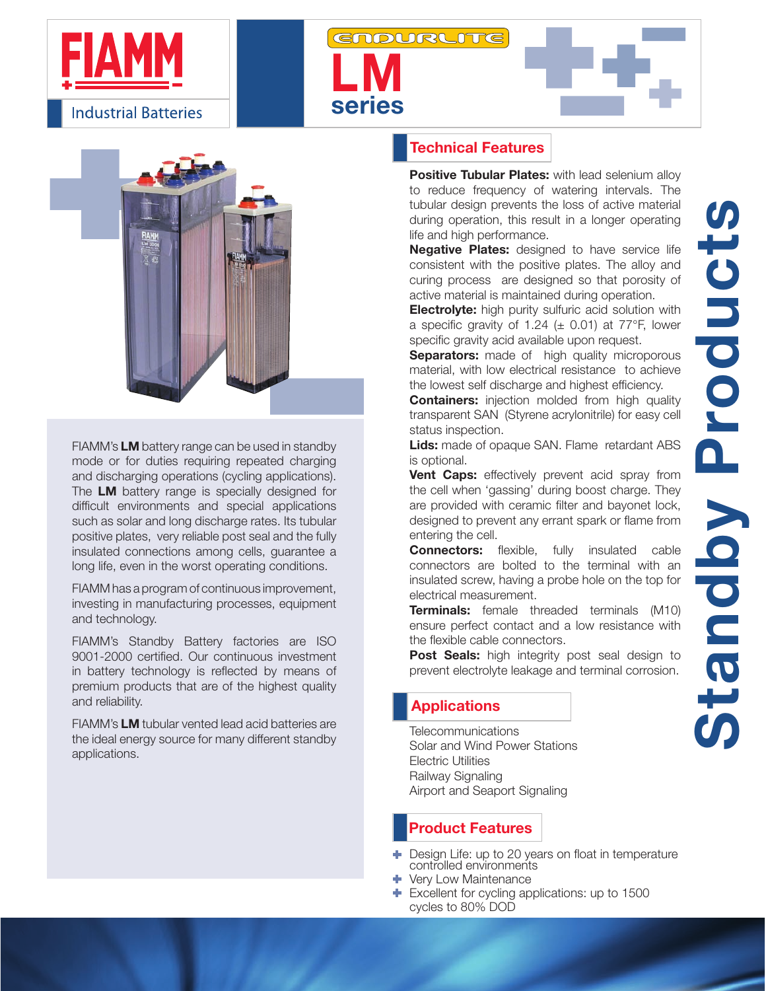



FIAMM's LM battery range can be used in standby mode or for duties requiring repeated charging and discharging operations (cycling applications). The LM battery range is specially designed for difficult environments and special applications such as solar and long discharge rates. Its tubular positive plates, very reliable post seal and the fully insulated connections among cells, guarantee a long life, even in the worst operating conditions.

FIAMM has a program of continuous improvement, investing in manufacturing processes, equipment and technology.

FIAMM's Standby Battery factories are ISO 9001-2000 certified. Our continuous investment in battery technology is reflected by means of premium products that are of the highest quality and reliability.

FIAMM's LM tubular vented lead acid batteries are the ideal energy source for many different standby applications.

#### Technical Features

series

**LM** 

**ENDURLITE** 

**Positive Tubular Plates:** with lead selenium alloy to reduce frequency of watering intervals. The tubular design prevents the loss of active material during operation, this result in a longer operating life and high performance.

Negative Plates: designed to have service life consistent with the positive plates. The alloy and curing process are designed so that porosity of active material is maintained during operation.

**Electrolyte:** high purity sulfuric acid solution with a specific gravity of 1.24 ( $\pm$  0.01) at 77°F, lower specific gravity acid available upon request.

**Separators:** made of high quality microporous material, with low electrical resistance to achieve the lowest self discharge and highest efficiency.

**Containers:** injection molded from high quality transparent SAN (Styrene acrylonitrile) for easy cell status inspection.

**Lids:** made of opaque SAN. Flame retardant ABS is optional.

**Vent Caps:** effectively prevent acid spray from the cell when 'gassing' during boost charge. They are provided with ceramic filter and bayonet lock, designed to prevent any errant spark or flame from entering the cell.

**Connectors:** flexible, fully insulated cable connectors are bolted to the terminal with an insulated screw, having a probe hole on the top for electrical measurement.

**Terminals:** female threaded terminals (M10) ensure perfect contact and a low resistance with the flexible cable connectors.

Post Seals: high integrity post seal design to prevent electrolyte leakage and terminal corrosion.

#### **Applications**

**Telecommunications** Solar and Wind Power Stations Electric Utilities Railway Signaling Airport and Seaport Signaling

### Product Features

- Design Life: up to 20 years on float in temperature controlled environments
- Very Low Maintenance
- Excellent for cycling applications: up to 1500 cycles to 80% DOD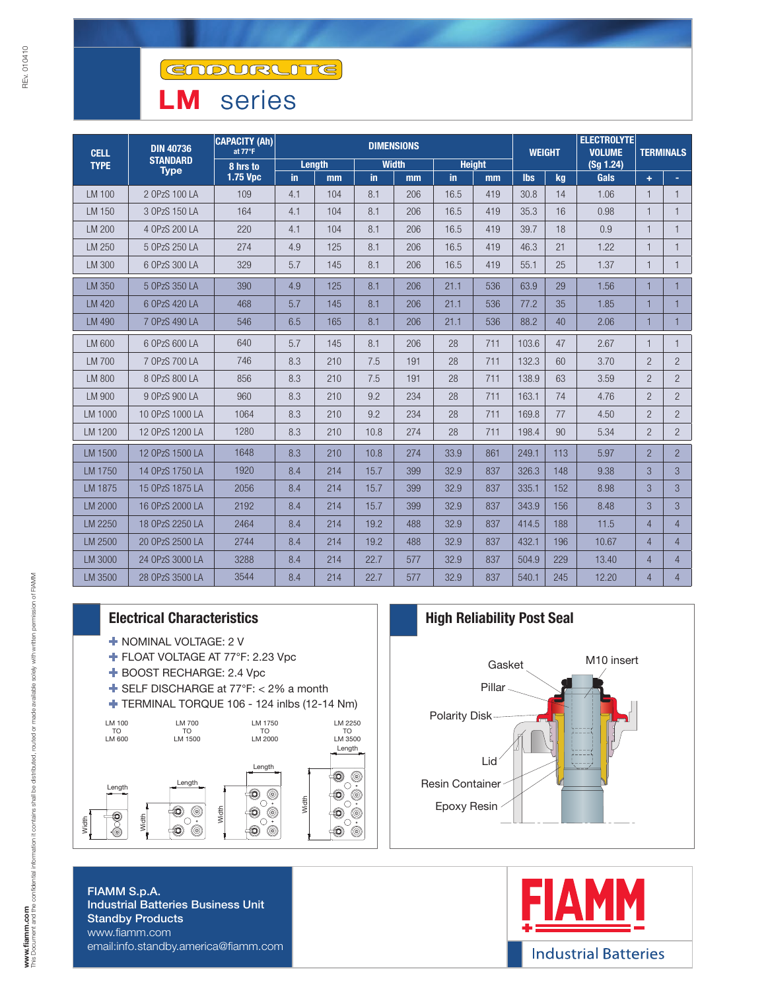# LM series

| <b>CELL</b><br><b>TYPE</b> | <b>DIN 40736</b><br><b>STANDARD</b><br><b>Type</b> | <b>CAPACITY (Ah)</b><br>at 77°F | <b>DIMENSIONS</b> |     |              |     |               |     |            | <b>WEIGHT</b> | <b>ELECTROLYTE</b><br><b>VOLUME</b> | <b>TERMINALS</b> |                |
|----------------------------|----------------------------------------------------|---------------------------------|-------------------|-----|--------------|-----|---------------|-----|------------|---------------|-------------------------------------|------------------|----------------|
|                            |                                                    | 8 hrs to<br>1.75 Vpc            | Length            |     | <b>Width</b> |     | <b>Height</b> |     |            |               | (Sg 1.24)                           |                  |                |
|                            |                                                    |                                 | in.               | mm  | in           | mm  | in.           | mm  | <b>lbs</b> | kg            | Gals                                | ÷                | ÷.             |
| LM 100                     | 2 OPzS 100 LA                                      | 109                             | 4.1               | 104 | 8.1          | 206 | 16.5          | 419 | 30.8       | 14            | 1.06                                | $\mathbf{1}$     | $\mathbf{1}$   |
| LM 150                     | 3 OPzS 150 LA                                      | 164                             | 4.1               | 104 | 8.1          | 206 | 16.5          | 419 | 35.3       | 16            | 0.98                                | $\mathbf{1}$     |                |
| LM 200                     | 4 OPzS 200 LA                                      | 220                             | 4.1               | 104 | 8.1          | 206 | 16.5          | 419 | 39.7       | 18            | 0.9                                 | $\mathbf{1}$     |                |
| LM 250                     | 5 OPzS 250 LA                                      | 274                             | 4.9               | 125 | 8.1          | 206 | 16.5          | 419 | 46.3       | 21            | 1.22                                | $\mathbf{1}$     |                |
| LM 300                     | 6 OPzS 300 LA                                      | 329                             | 5.7               | 145 | 8.1          | 206 | 16.5          | 419 | 55.1       | 25            | 1.37                                | $\mathbf{1}$     | $\mathbf{1}$   |
| LM 350                     | 5 OPzS 350 LA                                      | 390                             | 4.9               | 125 | 8.1          | 206 | 21.1          | 536 | 63.9       | 29            | 1.56                                | $\mathbf{1}$     |                |
| LM 420                     | 6 OPzS 420 LA                                      | 468                             | 5.7               | 145 | 8.1          | 206 | 21.1          | 536 | 77.2       | 35            | 1.85                                | $\mathbf{1}$     |                |
| LM 490                     | 7 OPzS 490 LA                                      | 546                             | 6.5               | 165 | 8.1          | 206 | 21.1          | 536 | 88.2       | 40            | 2.06                                | $\mathbf{1}$     |                |
| LM 600                     | 6 OPzS 600 LA                                      | 640                             | 5.7               | 145 | 8.1          | 206 | 28            | 711 | 103.6      | 47            | 2.67                                | $\mathbf{1}$     | $\mathbf{1}$   |
| LM 700                     | 7 OPzS 700 LA                                      | 746                             | 8.3               | 210 | 7.5          | 191 | 28            | 711 | 132.3      | 60            | 3.70                                | $\overline{2}$   | $\overline{2}$ |
| LM 800                     | 8 OPzS 800 LA                                      | 856                             | 8.3               | 210 | 7.5          | 191 | 28            | 711 | 138.9      | 63            | 3.59                                | $\overline{2}$   | $\overline{2}$ |
| LM 900                     | 9 OPzS 900 LA                                      | 960                             | 8.3               | 210 | 9.2          | 234 | 28            | 711 | 163.1      | 74            | 4.76                                | $\overline{2}$   | $\overline{2}$ |
| LM 1000                    | 10 OPzS 1000 LA                                    | 1064                            | 8.3               | 210 | 9.2          | 234 | 28            | 711 | 169.8      | 77            | 4.50                                | $\overline{2}$   | $\overline{2}$ |
| LM 1200                    | 12 OPzS 1200 LA                                    | 1280                            | 8.3               | 210 | 10.8         | 274 | 28            | 711 | 198.4      | 90            | 5.34                                | $\overline{2}$   | $\overline{2}$ |
| LM 1500                    | 12 OPzS 1500 LA                                    | 1648                            | 8.3               | 210 | 10.8         | 274 | 33.9          | 861 | 249.1      | 113           | 5.97                                | $\overline{2}$   | $\overline{2}$ |
| LM 1750                    | 14 OPzS 1750 LA                                    | 1920                            | 8.4               | 214 | 15.7         | 399 | 32.9          | 837 | 326.3      | 148           | 9.38                                | 3                | 3              |
| LM 1875                    | 15 OPzS 1875 LA                                    | 2056                            | 8.4               | 214 | 15.7         | 399 | 32.9          | 837 | 335.1      | 152           | 8.98                                | 3                | 3              |
| LM 2000                    | 16 OPzS 2000 LA                                    | 2192                            | 8.4               | 214 | 15.7         | 399 | 32.9          | 837 | 343.9      | 156           | 8.48                                | 3                | 3              |
| LM 2250                    | 18 OPzS 2250 LA                                    | 2464                            | 8.4               | 214 | 19.2         | 488 | 32.9          | 837 | 414.5      | 188           | 11.5                                | $\overline{4}$   | $\overline{4}$ |
| LM 2500                    | 20 OPzS 2500 LA                                    | 2744                            | 8.4               | 214 | 19.2         | 488 | 32.9          | 837 | 432.1      | 196           | 10.67                               | $\overline{4}$   | $\overline{4}$ |
| LM 3000                    | 24 OPzS 3000 LA                                    | 3288                            | 8.4               | 214 | 22.7         | 577 | 32.9          | 837 | 504.9      | 229           | 13.40                               | $\overline{4}$   | $\overline{4}$ |
| LM 3500                    | 28 OPzS 3500 LA                                    | 3544                            | 8.4               | 214 | 22.7         | 577 | 32.9          | 837 | 540.1      | 245           | 12.20                               | $\overline{4}$   | $\overline{4}$ |

- NOMINAL VOLTAGE: 2 V
- FLOAT VOLTAGE AT 77°F: 2.23 Vpc
- BOOST RECHARGE: 2.4 Vpc
- SELF DISCHARGE at 77°F: < 2% a month
- TERMINAL TORQUE 106 124 inlbs (12-14 Nm)



FIAMM S.p.A. Industrial Batteries Business Unit Standby Products www.fiamm.com email:info.standby.america@fiamm.com

# Electrical Characteristics **High Reliability Post Seal** Gasket M10 insert Pillar Polarity Disk Lid Resin Container Epoxy Resin